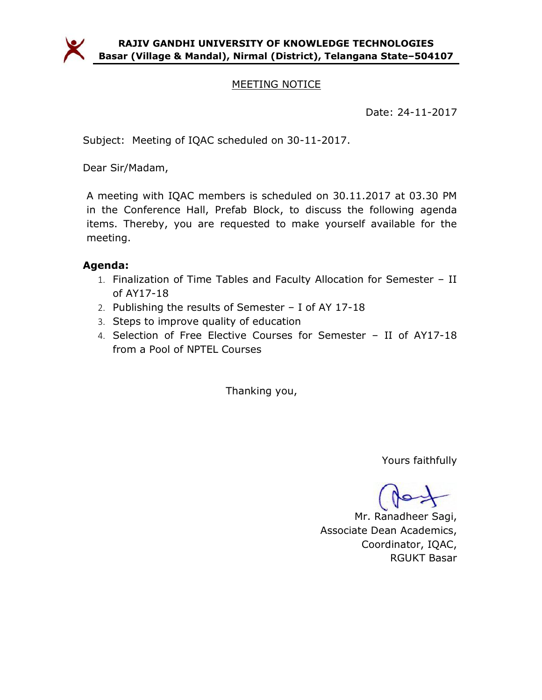

# MEETING NOTICE

Date: 24-11-2017

Subject: Meeting of IQAC scheduled on 30-11-2017.

Dear Sir/Madam,

A meeting with IQAC members is scheduled on 30.11.2017 at 03.30 PM in the Conference Hall, Prefab Block, to discuss the following agenda items. Thereby, you are requested to make yourself available for the meeting.

# Agenda:

- 1. Finalization of Time Tables and Faculty Allocation for Semester II of AY17-18
- 2. Publishing the results of Semester I of AY 17-18
- 3. Steps to improve quality of education
- 4. Selection of Free Elective Courses for Semester II of AY17-18 from a Pool of NPTEL Courses

Thanking you,

Yours faithfully

Mr. Ranadheer Sagi, Associate Dean Academics, Coordinator, IQAC, RGUKT Basar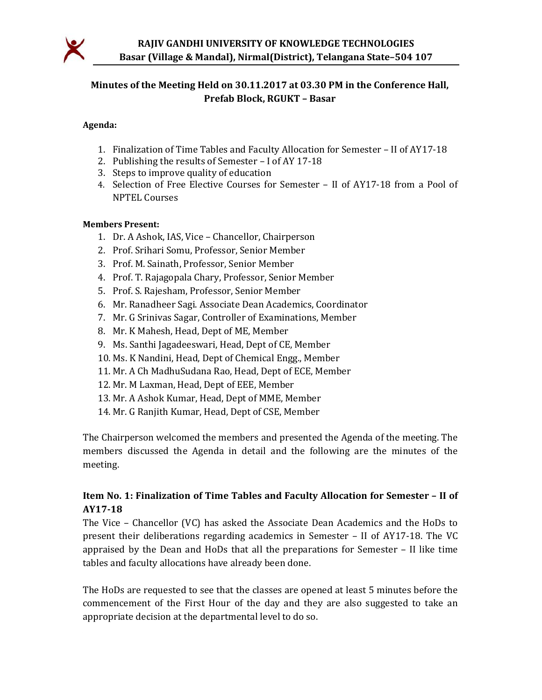

# Minutes of the Meeting Held on 30.11.2017 at 03.30 PM in the Conference Hall, Prefab Block, RGUKT – Basar

#### Agenda:

- 1. Finalization of Time Tables and Faculty Allocation for Semester II of AY17-18
- 2. Publishing the results of Semester I of AY 17-18
- 3. Steps to improve quality of education
- 4. Selection of Free Elective Courses for Semester II of AY17-18 from a Pool of NPTEL Courses

#### Members Present:

- 1. Dr. A Ashok, IAS, Vice Chancellor, Chairperson
- 2. Prof. Srihari Somu, Professor, Senior Member
- 3. Prof. M. Sainath, Professor, Senior Member
- 4. Prof. T. Rajagopala Chary, Professor, Senior Member
- 5. Prof. S. Rajesham, Professor, Senior Member
- 6. Mr. Ranadheer Sagi. Associate Dean Academics, Coordinator
- 7. Mr. G Srinivas Sagar, Controller of Examinations, Member
- 8. Mr. K Mahesh, Head, Dept of ME, Member
- 9. Ms. Santhi Jagadeeswari, Head, Dept of CE, Member
- 10. Ms. K Nandini, Head, Dept of Chemical Engg., Member
- 11. Mr. A Ch MadhuSudana Rao, Head, Dept of ECE, Member
- 12. Mr. M Laxman, Head, Dept of EEE, Member
- 13. Mr. A Ashok Kumar, Head, Dept of MME, Member
- 14. Mr. G Ranjith Kumar, Head, Dept of CSE, Member

The Chairperson welcomed the members and presented the Agenda of the meeting. The members discussed the Agenda in detail and the following are the minutes of the meeting.

### Item No. 1: Finalization of Time Tables and Faculty Allocation for Semester – II of AY17-18

The Vice – Chancellor (VC) has asked the Associate Dean Academics and the HoDs to present their deliberations regarding academics in Semester – II of AY17-18. The VC appraised by the Dean and HoDs that all the preparations for Semester – II like time tables and faculty allocations have already been done.

The HoDs are requested to see that the classes are opened at least 5 minutes before the commencement of the First Hour of the day and they are also suggested to take an appropriate decision at the departmental level to do so.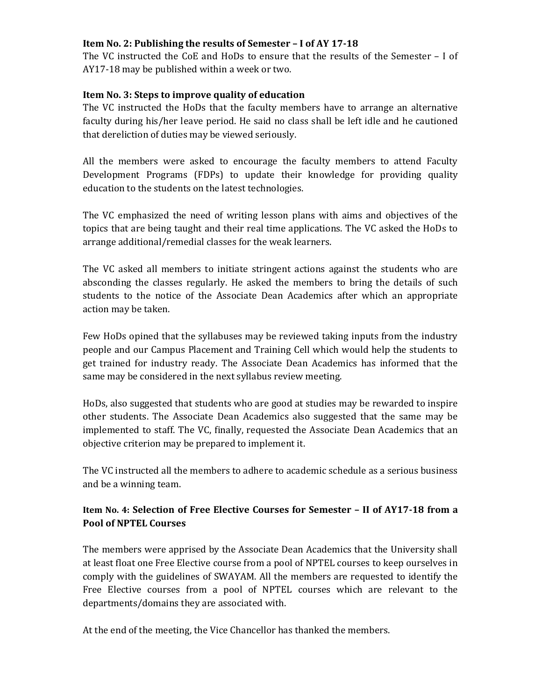#### Item No. 2: Publishing the results of Semester – I of AY 17-18

The VC instructed the CoE and HoDs to ensure that the results of the Semester – I of AY17-18 may be published within a week or two.

#### Item No. 3: Steps to improve quality of education

The VC instructed the HoDs that the faculty members have to arrange an alternative faculty during his/her leave period. He said no class shall be left idle and he cautioned that dereliction of duties may be viewed seriously.

All the members were asked to encourage the faculty members to attend Faculty Development Programs (FDPs) to update their knowledge for providing quality education to the students on the latest technologies.

The VC emphasized the need of writing lesson plans with aims and objectives of the topics that are being taught and their real time applications. The VC asked the HoDs to arrange additional/remedial classes for the weak learners.

The VC asked all members to initiate stringent actions against the students who are absconding the classes regularly. He asked the members to bring the details of such students to the notice of the Associate Dean Academics after which an appropriate action may be taken.

Few HoDs opined that the syllabuses may be reviewed taking inputs from the industry people and our Campus Placement and Training Cell which would help the students to get trained for industry ready. The Associate Dean Academics has informed that the same may be considered in the next syllabus review meeting.

HoDs, also suggested that students who are good at studies may be rewarded to inspire other students. The Associate Dean Academics also suggested that the same may be implemented to staff. The VC, finally, requested the Associate Dean Academics that an objective criterion may be prepared to implement it.

The VC instructed all the members to adhere to academic schedule as a serious business and be a winning team.

# Item No. 4: Selection of Free Elective Courses for Semester – II of AY17-18 from a Pool of NPTEL Courses

The members were apprised by the Associate Dean Academics that the University shall at least float one Free Elective course from a pool of NPTEL courses to keep ourselves in comply with the guidelines of SWAYAM. All the members are requested to identify the Free Elective courses from a pool of NPTEL courses which are relevant to the departments/domains they are associated with.

At the end of the meeting, the Vice Chancellor has thanked the members.